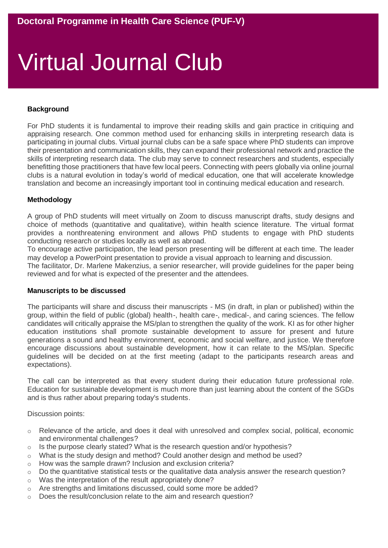# Virtual Journal Club

# **Background**

For PhD students it is fundamental to improve their reading skills and gain practice in critiquing and appraising research. One common method used for enhancing skills in interpreting research data is participating in journal clubs. Virtual journal clubs can be a safe space where PhD students can improve their presentation and communication skills, they can expand their professional network and practice the skills of interpreting research data. The club may serve to connect researchers and students, especially benefitting those practitioners that have few local peers. Connecting with peers globally via online journal clubs is a natural evolution in today's world of medical education, one that will accelerate knowledge translation and become an increasingly important tool in continuing medical education and research.

# **Methodology**

A group of PhD students will meet virtually on Zoom to discuss manuscript drafts, study designs and choice of methods (quantitative and qualitative), within health science literature. The virtual format provides a nonthreatening environment and allows PhD students to engage with PhD students conducting research or studies locally as well as abroad.

To encourage active participation, the lead person presenting will be different at each time. The leader may develop a PowerPoint presentation to provide a visual approach to learning and discussion.

The facilitator, Dr. Marlene Makenzius, a senior researcher, will provide guidelines for the paper being reviewed and for what is expected of the presenter and the attendees.

#### **Manuscripts to be discussed**

The participants will share and discuss their manuscripts - MS (in draft, in plan or published) within the group, within the field of public (global) health-, health care-, medical-, and caring sciences. The fellow candidates will critically appraise the MS/plan to strengthen the quality of the work. KI as for other higher education institutions shall promote sustainable development to assure for present and future generations a sound and healthy environment, economic and social welfare, and justice. We therefore encourage discussions about sustainable development, how it can relate to the MS/plan. Specific guidelines will be decided on at the first meeting (adapt to the participants research areas and expectations).

The call can be interpreted as that every student during their education future professional role. Education for sustainable development is much more than just learning about the content of the SGDs and is thus rather about preparing today's students.

Discussion points:

- o Relevance of the article, and does it deal with unresolved and complex social, political, economic and environmental challenges?
- $\circ$  Is the purpose clearly stated? What is the research question and/or hypothesis?
- o What is the study design and method? Could another design and method be used?
- o How was the sample drawn? Inclusion and exclusion criteria?
- $\circ$  Do the quantitative statistical tests or the qualitative data analysis answer the research question?
- o Was the interpretation of the result appropriately done?
- o Are strengths and limitations discussed, could some more be added?
- o Does the result/conclusion relate to the aim and research question?